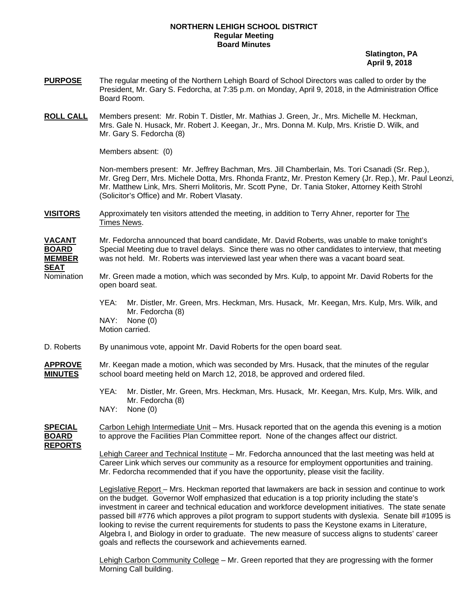## **NORTHERN LEHIGH SCHOOL DISTRICT Regular Meeting Board Minutes**

 **Slatington, PA April 9, 2018** 

- **PURPOSE** The regular meeting of the Northern Lehigh Board of School Directors was called to order by the President, Mr. Gary S. Fedorcha, at 7:35 p.m. on Monday, April 9, 2018, in the Administration Office Board Room.
- **ROLL CALL** Members present: Mr. Robin T. Distler, Mr. Mathias J. Green, Jr., Mrs. Michelle M. Heckman, Mrs. Gale N. Husack, Mr. Robert J. Keegan, Jr., Mrs. Donna M. Kulp, Mrs. Kristie D. Wilk, and Mr. Gary S. Fedorcha (8)

Members absent: (0)

Non-members present: Mr. Jeffrey Bachman, Mrs. Jill Chamberlain, Ms. Tori Csanadi (Sr. Rep.), Mr. Greg Derr, Mrs. Michele Dotta, Mrs. Rhonda Frantz, Mr. Preston Kemery (Jr. Rep.), Mr. Paul Leonzi, Mr. Matthew Link, Mrs. Sherri Molitoris, Mr. Scott Pyne, Dr. Tania Stoker, Attorney Keith Strohl (Solicitor's Office) and Mr. Robert Vlasaty.

**VISITORS** Approximately ten visitors attended the meeting, in addition to Terry Ahner, reporter for The Times News.

**VACANT** Mr. Fedorcha announced that board candidate, Mr. David Roberts, was unable to make tonight's **BOARD** Special Meeting due to travel delays. Since there was no other candidates to interview, that meeting **MEMBER** was not held. Mr. Roberts was interviewed last year when there was a vacant board seat.

Nomination Mr. Green made a motion, which was seconded by Mrs. Kulp, to appoint Mr. David Roberts for the open board seat.

> YEA: Mr. Distler, Mr. Green, Mrs. Heckman, Mrs. Husack, Mr. Keegan, Mrs. Kulp, Mrs. Wilk, and Mr. Fedorcha (8) NAY: None (0) Motion carried.

- D. Roberts By unanimous vote, appoint Mr. David Roberts for the open board seat.
- **APPROVE** Mr. Keegan made a motion, which was seconded by Mrs. Husack, that the minutes of the regular **MINUTES** school board meeting held on March 12, 2018, be approved and ordered filed.
	- YEA: Mr. Distler, Mr. Green, Mrs. Heckman, Mrs. Husack, Mr. Keegan, Mrs. Kulp, Mrs. Wilk, and Mr. Fedorcha (8)
	- NAY: None (0)
- **SPECIAL** Carbon Lehigh Intermediate Unit Mrs. Husack reported that on the agenda this evening is a motion **BOARD** to approve the Facilities Plan Committee report. None of the changes affect our district.

**REPORTS**

**SEAT**

 Lehigh Career and Technical Institute – Mr. Fedorcha announced that the last meeting was held at Career Link which serves our community as a resource for employment opportunities and training. Mr. Fedorcha recommended that if you have the opportunity, please visit the facility.

 Legislative Report – Mrs. Heckman reported that lawmakers are back in session and continue to work on the budget. Governor Wolf emphasized that education is a top priority including the state's investment in career and technical education and workforce development initiatives. The state senate passed bill #776 which approves a pilot program to support students with dyslexia. Senate bill #1095 is looking to revise the current requirements for students to pass the Keystone exams in Literature, Algebra I, and Biology in order to graduate. The new measure of success aligns to students' career goals and reflects the coursework and achievements earned.

Lehigh Carbon Community College – Mr. Green reported that they are progressing with the former Morning Call building.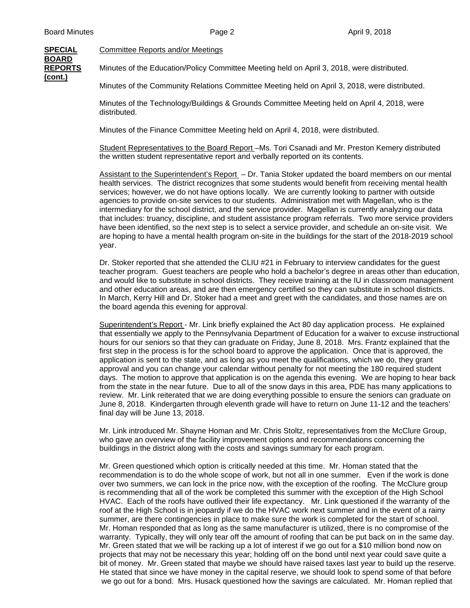**SPECIAL** Committee Reports and/or Meetings

**BOARD (cont.)**

**REPORTS** Minutes of the Education/Policy Committee Meeting held on April 3, 2018, were distributed.

Minutes of the Community Relations Committee Meeting held on April 3, 2018, were distributed.

 Minutes of the Technology/Buildings & Grounds Committee Meeting held on April 4, 2018, were distributed.

Minutes of the Finance Committee Meeting held on April 4, 2018, were distributed.

 Student Representatives to the Board Report –Ms. Tori Csanadi and Mr. Preston Kemery distributed the written student representative report and verbally reported on its contents.

Assistant to the Superintendent's Report - Dr. Tania Stoker updated the board members on our mental health services. The district recognizes that some students would benefit from receiving mental health services; however, we do not have options locally. We are currently looking to partner with outside agencies to provide on-site services to our students. Administration met with Magellan, who is the intermediary for the school district, and the service provider. Magellan is currently analyzing our data that includes: truancy, discipline, and student assistance program referrals. Two more service providers have been identified, so the next step is to select a service provider, and schedule an on-site visit. We are hoping to have a mental health program on-site in the buildings for the start of the 2018-2019 school year.

Dr. Stoker reported that she attended the CLIU #21 in February to interview candidates for the guest teacher program. Guest teachers are people who hold a bachelor's degree in areas other than education, and would like to substitute in school districts. They receive training at the IU in classroom management and other education areas, and are then emergency certified so they can substitute in school districts. In March, Kerry Hill and Dr. Stoker had a meet and greet with the candidates, and those names are on the board agenda this evening for approval.

Superintendent's Report - Mr. Link briefly explained the Act 80 day application process. He explained that essentially we apply to the Pennsylvania Department of Education for a waiver to excuse instructional hours for our seniors so that they can graduate on Friday, June 8, 2018. Mrs. Frantz explained that the first step in the process is for the school board to approve the application. Once that is approved, the application is sent to the state, and as long as you meet the qualifications, which we do, they grant approval and you can change your calendar without penalty for not meeting the 180 required student days. The motion to approve that application is on the agenda this evening. We are hoping to hear back from the state in the near future. Due to all of the snow days in this area, PDE has many applications to review. Mr. Link reiterated that we are doing everything possible to ensure the seniors can graduate on June 8, 2018. Kindergarten through eleventh grade will have to return on June 11-12 and the teachers' final day will be June 13, 2018.

Mr. Link introduced Mr. Shayne Homan and Mr. Chris Stoltz, representatives from the McClure Group, who gave an overview of the facility improvement options and recommendations concerning the buildings in the district along with the costs and savings summary for each program.

Mr. Green questioned which option is critically needed at this time. Mr. Homan stated that the recommendation is to do the whole scope of work, but not all in one summer. Even if the work is done over two summers, we can lock in the price now, with the exception of the roofing. The McClure group is recommending that all of the work be completed this summer with the exception of the High School HVAC. Each of the roofs have outlived their life expectancy. Mr. Link questioned if the warranty of the roof at the High School is in jeopardy if we do the HVAC work next summer and in the event of a rainy summer, are there contingencies in place to make sure the work is completed for the start of school. Mr. Homan responded that as long as the same manufacturer is utilized, there is no compromise of the warranty. Typically, they will only tear off the amount of roofing that can be put back on in the same day. Mr. Green stated that we will be racking up a lot of interest if we go out for a \$10 million bond now on projects that may not be necessary this year; holding off on the bond until next year could save quite a bit of money. Mr. Green stated that maybe we should have raised taxes last year to build up the reserve. He stated that since we have money in the capital reserve, we should look to spend some of that before we go out for a bond. Mrs. Husack questioned how the savings are calculated. Mr. Homan replied that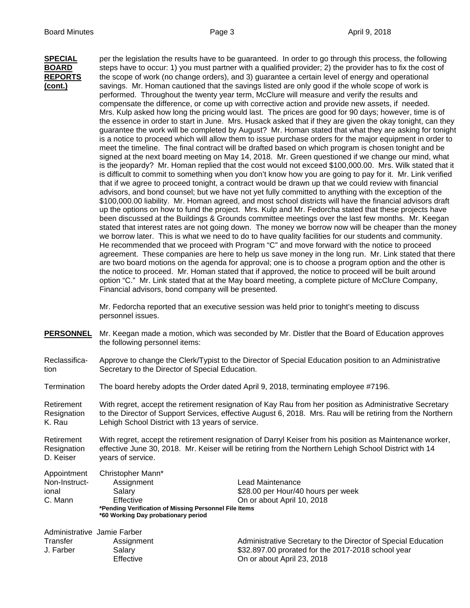**SPECIAL** per the legislation the results have to be guaranteed. In order to go through this process, the following **BOARD** steps have to occur: 1) you must partner with a qualified provider; 2) the provider has to fix the cost of **REPORTS** the scope of work (no change orders), and 3) guarantee a certain level of energy and operational **(cont.)** savings. Mr. Homan cautioned that the savings listed are only good if the whole scope of work is performed. Throughout the twenty year term, McClure will measure and verify the results and compensate the difference, or come up with corrective action and provide new assets, if needed. Mrs. Kulp asked how long the pricing would last. The prices are good for 90 days; however, time is of the essence in order to start in June. Mrs. Husack asked that if they are given the okay tonight, can they guarantee the work will be completed by August? Mr. Homan stated that what they are asking for tonight is a notice to proceed which will allow them to issue purchase orders for the major equipment in order to meet the timeline. The final contract will be drafted based on which program is chosen tonight and be signed at the next board meeting on May 14, 2018. Mr. Green questioned if we change our mind, what is the jeopardy? Mr. Homan replied that the cost would not exceed \$100,000.00. Mrs. Wilk stated that it is difficult to commit to something when you don't know how you are going to pay for it. Mr. Link verified that if we agree to proceed tonight, a contract would be drawn up that we could review with financial advisors, and bond counsel; but we have not yet fully committed to anything with the exception of the \$100,000.00 liability. Mr. Homan agreed, and most school districts will have the financial advisors draft up the options on how to fund the project. Mrs. Kulp and Mr. Fedorcha stated that these projects have been discussed at the Buildings & Grounds committee meetings over the last few months. Mr. Keegan stated that interest rates are not going down. The money we borrow now will be cheaper than the money we borrow later. This is what we need to do to have quality facilities for our students and community. He recommended that we proceed with Program "C" and move forward with the notice to proceed agreement. These companies are here to help us save money in the long run. Mr. Link stated that there are two board motions on the agenda for approval; one is to choose a program option and the other is the notice to proceed. Mr. Homan stated that if approved, the notice to proceed will be built around option "C." Mr. Link stated that at the May board meeting, a complete picture of McClure Company, Financial advisors, bond company will be presented.

> Mr. Fedorcha reported that an executive session was held prior to tonight's meeting to discuss personnel issues.

- **PERSONNEL** Mr. Keegan made a motion, which was seconded by Mr. Distler that the Board of Education approves the following personnel items:
- Reclassifica- Approve to change the Clerk/Typist to the Director of Special Education position to an Administrative tion Secretary to the Director of Special Education.

Termination The board hereby adopts the Order dated April 9, 2018, terminating employee #7196.

Retirement With regret, accept the retirement resignation of Kay Rau from her position as Administrative Secretary Resignation to the Director of Support Services, effective August 6, 2018. Mrs. Rau will be retiring from the Northern<br>K. Rau behigh School District with 13 years of service. Lehigh School District with 13 years of service.

Retirement With regret, accept the retirement resignation of Darryl Keiser from his position as Maintenance worker, Resignation effective June 30, 2018. Mr. Keiser will be retiring from the Northern Lehigh School District with 14 D. Keiser vears of service.

| Appointment                 | Christopher Mann*                                                                            |                                                               |  |
|-----------------------------|----------------------------------------------------------------------------------------------|---------------------------------------------------------------|--|
| Non-Instruct-               | Assignment                                                                                   | Lead Maintenance                                              |  |
| ional                       | Salary                                                                                       | \$28.00 per Hour/40 hours per week                            |  |
| C. Mann                     | Effective                                                                                    | On or about April 10, 2018                                    |  |
|                             | *Pending Verification of Missing Personnel File Items<br>*60 Working Day probationary period |                                                               |  |
| Administrative Jamie Farber |                                                                                              |                                                               |  |
| Transfer                    | Assignment                                                                                   | Administrative Secretary to the Director of Special Education |  |

J. Farber Salary Salary \$32.897.00 prorated for the 2017-2018 school year<br>Effective Effective Service Christian on or about April 23, 2018 On or about April 23, 2018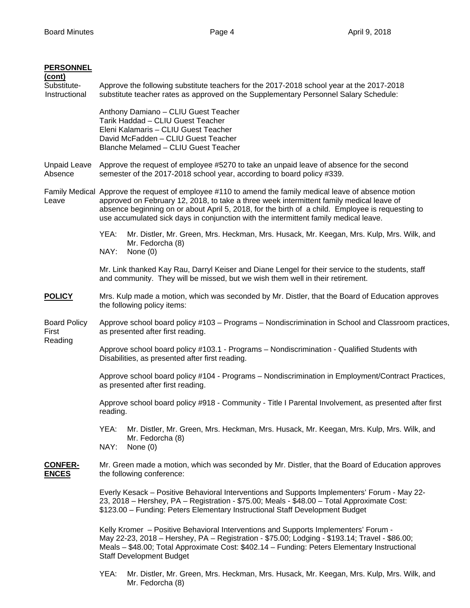## **PERSONNEL**

| (cont)<br>Substitute-<br>Instructional | Approve the following substitute teachers for the 2017-2018 school year at the 2017-2018<br>substitute teacher rates as approved on the Supplementary Personnel Salary Schedule:                                                                                                                                                                                                                |  |  |  |
|----------------------------------------|-------------------------------------------------------------------------------------------------------------------------------------------------------------------------------------------------------------------------------------------------------------------------------------------------------------------------------------------------------------------------------------------------|--|--|--|
|                                        | Anthony Damiano - CLIU Guest Teacher<br>Tarik Haddad - CLIU Guest Teacher<br>Eleni Kalamaris - CLIU Guest Teacher<br>David McFadden - CLIU Guest Teacher<br>Blanche Melamed - CLIU Guest Teacher                                                                                                                                                                                                |  |  |  |
| <b>Unpaid Leave</b><br>Absence         | Approve the request of employee #5270 to take an unpaid leave of absence for the second<br>semester of the 2017-2018 school year, according to board policy #339.                                                                                                                                                                                                                               |  |  |  |
| Leave                                  | Family Medical Approve the request of employee #110 to amend the family medical leave of absence motion<br>approved on February 12, 2018, to take a three week intermittent family medical leave of<br>absence beginning on or about April 5, 2018, for the birth of a child. Employee is requesting to<br>use accumulated sick days in conjunction with the intermittent family medical leave. |  |  |  |
|                                        | Mr. Distler, Mr. Green, Mrs. Heckman, Mrs. Husack, Mr. Keegan, Mrs. Kulp, Mrs. Wilk, and<br>YEA:<br>Mr. Fedorcha (8)<br>NAY:<br>None $(0)$                                                                                                                                                                                                                                                      |  |  |  |
|                                        | Mr. Link thanked Kay Rau, Darryl Keiser and Diane Lengel for their service to the students, staff<br>and community. They will be missed, but we wish them well in their retirement.                                                                                                                                                                                                             |  |  |  |
| <b>POLICY</b>                          | Mrs. Kulp made a motion, which was seconded by Mr. Distler, that the Board of Education approves<br>the following policy items:                                                                                                                                                                                                                                                                 |  |  |  |
| <b>Board Policy</b><br>First           | Approve school board policy #103 - Programs - Nondiscrimination in School and Classroom practices,<br>as presented after first reading.                                                                                                                                                                                                                                                         |  |  |  |
| Reading                                | Approve school board policy #103.1 - Programs - Nondiscrimination - Qualified Students with<br>Disabilities, as presented after first reading.                                                                                                                                                                                                                                                  |  |  |  |
|                                        | Approve school board policy #104 - Programs - Nondiscrimination in Employment/Contract Practices,<br>as presented after first reading.                                                                                                                                                                                                                                                          |  |  |  |
|                                        | Approve school board policy #918 - Community - Title I Parental Involvement, as presented after first<br>reading.                                                                                                                                                                                                                                                                               |  |  |  |
|                                        | YEA:<br>Mr. Distler, Mr. Green, Mrs. Heckman, Mrs. Husack, Mr. Keegan, Mrs. Kulp, Mrs. Wilk, and<br>Mr. Fedorcha (8)                                                                                                                                                                                                                                                                            |  |  |  |
|                                        | NAY:<br>None $(0)$                                                                                                                                                                                                                                                                                                                                                                              |  |  |  |
| <b>CONFER-</b><br><b>ENCES</b>         | Mr. Green made a motion, which was seconded by Mr. Distler, that the Board of Education approves<br>the following conference:                                                                                                                                                                                                                                                                   |  |  |  |
|                                        | Everly Kesack – Positive Behavioral Interventions and Supports Implementers' Forum - May 22-<br>23, 2018 – Hershey, PA – Registration - \$75.00; Meals - \$48.00 – Total Approximate Cost:<br>\$123.00 - Funding: Peters Elementary Instructional Staff Development Budget                                                                                                                      |  |  |  |
|                                        | Kelly Kromer - Positive Behavioral Interventions and Supports Implementers' Forum -<br>May 22-23, 2018 - Hershey, PA - Registration - \$75.00; Lodging - \$193.14; Travel - \$86.00;<br>Meals - \$48.00; Total Approximate Cost: \$402.14 - Funding: Peters Elementary Instructional<br><b>Staff Development Budget</b>                                                                         |  |  |  |
|                                        | YEA:<br>Mr. Distler, Mr. Green, Mrs. Heckman, Mrs. Husack, Mr. Keegan, Mrs. Kulp, Mrs. Wilk, and                                                                                                                                                                                                                                                                                                |  |  |  |

Mr. Fedorcha (8)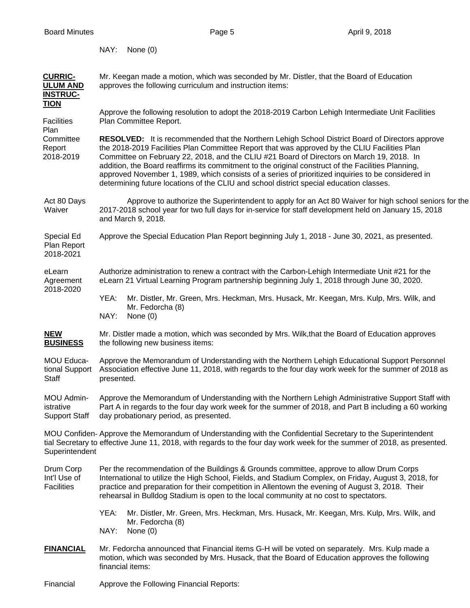NAY: None (0)

| <b>CURRIC-</b><br><b>ULUM AND</b><br><b>INSTRUC-</b><br><b>TION</b> | Mr. Keegan made a motion, which was seconded by Mr. Distler, that the Board of Education<br>approves the following curriculum and instruction items:                                                                                                                                                                                                                                                                                                                                                                                                                                                       |  |  |  |  |
|---------------------------------------------------------------------|------------------------------------------------------------------------------------------------------------------------------------------------------------------------------------------------------------------------------------------------------------------------------------------------------------------------------------------------------------------------------------------------------------------------------------------------------------------------------------------------------------------------------------------------------------------------------------------------------------|--|--|--|--|
| Facilities<br>Plan                                                  | Approve the following resolution to adopt the 2018-2019 Carbon Lehigh Intermediate Unit Facilities<br>Plan Committee Report.                                                                                                                                                                                                                                                                                                                                                                                                                                                                               |  |  |  |  |
| Committee<br>Report<br>2018-2019                                    | <b>RESOLVED:</b> It is recommended that the Northern Lehigh School District Board of Directors approve<br>the 2018-2019 Facilities Plan Committee Report that was approved by the CLIU Facilities Plan<br>Committee on February 22, 2018, and the CLIU #21 Board of Directors on March 19, 2018. In<br>addition, the Board reaffirms its commitment to the original construct of the Facilities Planning,<br>approved November 1, 1989, which consists of a series of prioritized inquiries to be considered in<br>determining future locations of the CLIU and school district special education classes. |  |  |  |  |
| Act 80 Days<br>Waiver                                               | Approve to authorize the Superintendent to apply for an Act 80 Waiver for high school seniors for the<br>2017-2018 school year for two full days for in-service for staff development held on January 15, 2018<br>and March 9, 2018.                                                                                                                                                                                                                                                                                                                                                                       |  |  |  |  |
| Special Ed<br>Plan Report<br>2018-2021                              | Approve the Special Education Plan Report beginning July 1, 2018 - June 30, 2021, as presented.                                                                                                                                                                                                                                                                                                                                                                                                                                                                                                            |  |  |  |  |
| eLearn<br>Agreement<br>2018-2020                                    | Authorize administration to renew a contract with the Carbon-Lehigh Intermediate Unit #21 for the<br>eLearn 21 Virtual Learning Program partnership beginning July 1, 2018 through June 30, 2020.                                                                                                                                                                                                                                                                                                                                                                                                          |  |  |  |  |
|                                                                     | YEA:<br>Mr. Distler, Mr. Green, Mrs. Heckman, Mrs. Husack, Mr. Keegan, Mrs. Kulp, Mrs. Wilk, and<br>Mr. Fedorcha (8)<br>NAY:<br>None $(0)$                                                                                                                                                                                                                                                                                                                                                                                                                                                                 |  |  |  |  |
| <b>NEW</b><br><b>BUSINESS</b>                                       | Mr. Distler made a motion, which was seconded by Mrs. Wilk, that the Board of Education approves<br>the following new business items:                                                                                                                                                                                                                                                                                                                                                                                                                                                                      |  |  |  |  |
| MOU Educa-<br>tional Support<br>Staff                               | Approve the Memorandum of Understanding with the Northern Lehigh Educational Support Personnel<br>Association effective June 11, 2018, with regards to the four day work week for the summer of 2018 as<br>presented.                                                                                                                                                                                                                                                                                                                                                                                      |  |  |  |  |
| MOU Admin-<br>istrative<br><b>Support Staff</b>                     | Approve the Memorandum of Understanding with the Northern Lehigh Administrative Support Staff with<br>Part A in regards to the four day work week for the summer of 2018, and Part B including a 60 working<br>day probationary period, as presented.                                                                                                                                                                                                                                                                                                                                                      |  |  |  |  |
|                                                                     | MOU Confiden-Approve the Memorandum of Understanding with the Confidential Secretary to the Superintendent<br>tial Secretary to effective June 11, 2018, with regards to the four day work week for the summer of 2018, as presented.<br>Superintendent                                                                                                                                                                                                                                                                                                                                                    |  |  |  |  |
| Drum Corp                                                           | Per the recommendation of the Buildings & Grounds committee, approve to allow Drum Corps                                                                                                                                                                                                                                                                                                                                                                                                                                                                                                                   |  |  |  |  |
| Int'l Use of<br><b>Facilities</b>                                   | International to utilize the High School, Fields, and Stadium Complex, on Friday, August 3, 2018, for<br>practice and preparation for their competition in Allentown the evening of August 3, 2018. Their<br>rehearsal in Bulldog Stadium is open to the local community at no cost to spectators.                                                                                                                                                                                                                                                                                                         |  |  |  |  |
|                                                                     | YEA:<br>Mr. Distler, Mr. Green, Mrs. Heckman, Mrs. Husack, Mr. Keegan, Mrs. Kulp, Mrs. Wilk, and<br>Mr. Fedorcha (8)<br>NAY:<br>None $(0)$                                                                                                                                                                                                                                                                                                                                                                                                                                                                 |  |  |  |  |

Financial Approve the Following Financial Reports: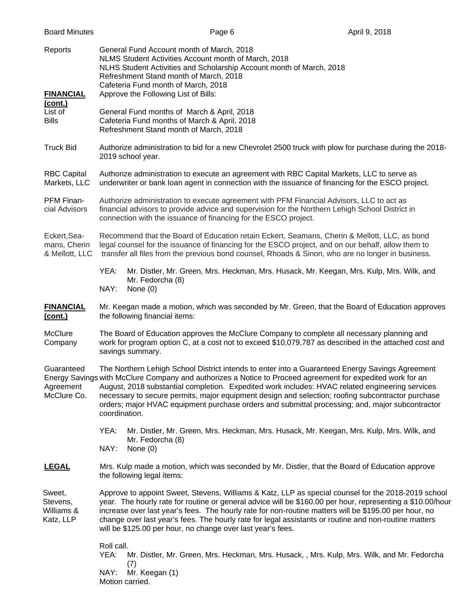| <b>Board Minutes</b>                           | Page 6                                                                                                                                                                                                                                                                                                                                                                                                                                                                                                                                    | April 9, 2018 |  |  |
|------------------------------------------------|-------------------------------------------------------------------------------------------------------------------------------------------------------------------------------------------------------------------------------------------------------------------------------------------------------------------------------------------------------------------------------------------------------------------------------------------------------------------------------------------------------------------------------------------|---------------|--|--|
| Reports<br><b>FINANCIAL</b>                    | General Fund Account month of March, 2018<br>NLMS Student Activities Account month of March, 2018<br>NLHS Student Activities and Scholarship Account month of March, 2018<br>Refreshment Stand month of March, 2018<br>Cafeteria Fund month of March, 2018<br>Approve the Following List of Bills:                                                                                                                                                                                                                                        |               |  |  |
| (cont.)<br>List of<br><b>Bills</b>             | General Fund months of March & April, 2018<br>Cafeteria Fund months of March & April, 2018<br>Refreshment Stand month of March, 2018                                                                                                                                                                                                                                                                                                                                                                                                      |               |  |  |
| <b>Truck Bid</b>                               | Authorize administration to bid for a new Chevrolet 2500 truck with plow for purchase during the 2018-<br>2019 school year.                                                                                                                                                                                                                                                                                                                                                                                                               |               |  |  |
| <b>RBC Capital</b><br>Markets, LLC             | Authorize administration to execute an agreement with RBC Capital Markets, LLC to serve as<br>underwriter or bank loan agent in connection with the issuance of financing for the ESCO project.                                                                                                                                                                                                                                                                                                                                           |               |  |  |
| PFM Finan-<br>cial Advisors                    | Authorize administration to execute agreement with PFM Financial Advisors, LLC to act as<br>financial advisors to provide advice and supervision for the Northern Lehigh School District in<br>connection with the issuance of financing for the ESCO project.                                                                                                                                                                                                                                                                            |               |  |  |
| Eckert, Sea-<br>mans, Cherin<br>& Mellott, LLC | Recommend that the Board of Education retain Eckert, Seamans, Cherin & Mellott, LLC, as bond<br>legal counsel for the issuance of financing for the ESCO project, and on our behalf, allow them to<br>transfer all files from the previous bond counsel, Rhoads & Sinon, who are no longer in business.                                                                                                                                                                                                                                   |               |  |  |
|                                                | YEA:<br>Mr. Distler, Mr. Green, Mrs. Heckman, Mrs. Husack, Mr. Keegan, Mrs. Kulp, Mrs. Wilk, and<br>Mr. Fedorcha (8)<br>NAY:<br>None $(0)$                                                                                                                                                                                                                                                                                                                                                                                                |               |  |  |
| <b>FINANCIAL</b><br>(cont.)                    | Mr. Keegan made a motion, which was seconded by Mr. Green, that the Board of Education approves<br>the following financial items:                                                                                                                                                                                                                                                                                                                                                                                                         |               |  |  |
| <b>McClure</b><br>Company                      | The Board of Education approves the McClure Company to complete all necessary planning and<br>work for program option C, at a cost not to exceed \$10,079,787 as described in the attached cost and<br>savings summary.                                                                                                                                                                                                                                                                                                                   |               |  |  |
| Guaranteed<br>Agreement<br>McClure Co.         | The Northern Lehigh School District intends to enter into a Guaranteed Energy Savings Agreement<br>Energy Savings with McClure Company and authorizes a Notice to Proceed agreement for expedited work for an<br>August, 2018 substantial completion. Expedited work includes: HVAC related engineering services<br>necessary to secure permits, major equipment design and selection; roofing subcontractor purchase<br>orders; major HVAC equipment purchase orders and submittal processing; and, major subcontractor<br>coordination. |               |  |  |
|                                                | YEA:<br>Mr. Distler, Mr. Green, Mrs. Heckman, Mrs. Husack, Mr. Keegan, Mrs. Kulp, Mrs. Wilk, and<br>Mr. Fedorcha (8)<br>NAY:<br>None $(0)$                                                                                                                                                                                                                                                                                                                                                                                                |               |  |  |
| <b>LEGAL</b>                                   | Mrs. Kulp made a motion, which was seconded by Mr. Distler, that the Board of Education approve<br>the following legal items:                                                                                                                                                                                                                                                                                                                                                                                                             |               |  |  |
| Sweet,<br>Stevens,<br>Williams &<br>Katz, LLP  | Approve to appoint Sweet, Stevens, Williams & Katz, LLP as special counsel for the 2018-2019 school<br>year. The hourly rate for routine or general advice will be \$160.00 per hour, representing a \$10.00/hour<br>increase over last year's fees. The hourly rate for non-routine matters will be \$195.00 per hour, no<br>change over last year's fees. The hourly rate for legal assistants or routine and non-routine matters<br>will be \$125.00 per hour, no change over last year's fees.                                        |               |  |  |
|                                                | Roll call.<br>YEA:<br>Mr. Distler, Mr. Green, Mrs. Heckman, Mrs. Husack, , Mrs. Kulp, Mrs. Wilk, and Mr. Fedorcha<br>(7)<br>NAY:<br>Mr. Keegan (1)<br>Motion carried.                                                                                                                                                                                                                                                                                                                                                                     |               |  |  |